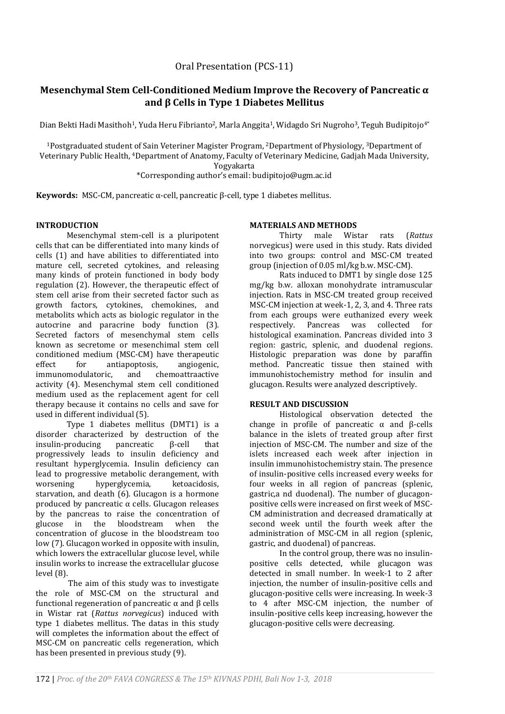# **Mesenchymal Stem Cell-Conditioned Medium Improve the Recovery of Pancreatic α and β Cells in Type 1 Diabetes Mellitus**

Dian Bekti Hadi Masithoh<sup>1</sup>, Yuda Heru Fibrianto<sup>2</sup>, Marla Anggita<sup>1</sup>, Widagdo Sri Nugroho<sup>3</sup>, Teguh Budipitojo<sup>4\*</sup>

<sup>1</sup>Postgraduated student of Sain Veteriner Magister Program, <sup>2</sup>Department of Physiology, <sup>3</sup>Department of Veterinary Public Health, 4Department of Anatomy, Faculty of Veterinary Medicine, Gadjah Mada University, Yogyakarta

\*Corresponding author's email: budipitojo@ugm.ac.id

**Keywords:** MSC-CM, pancreatic α-cell, pancreatic β-cell, type 1 diabetes mellitus.

# **INTRODUCTION**

Mesenchymal stem-cell is a pluripotent cells that can be differentiated into many kinds of cells (1) and have abilities to differentiated into mature cell, secreted cytokines, and releasing many kinds of protein functioned in body body regulation (2). However, the therapeutic effect of stem cell arise from their secreted factor such as growth factors, cytokines, chemokines, and metabolits which acts as biologic regulator in the autocrine and paracrine body function (3). Secreted factors of mesenchymal stem cells known as secretome or mesenchimal stem cell conditioned medium (MSC-CM) have therapeutic effect for antiapoptosis, angiogenic, immunomodulatoric, and chemoattraactive activity (4). Mesenchymal stem cell conditioned medium used as the replacement agent for cell therapy because it contains no cells and save for used in different individual (5).

Type 1 diabetes mellitus (DMT1) is a disorder characterized by destruction of the insulin-producing pancreatic β-cell that progressively leads to insulin deficiency and resultant hyperglycemia. Insulin deficiency can lead to progressive metabolic derangement, with worsening hyperglycemia, ketoacidosis, starvation, and death (6). Glucagon is a hormone produced by pancreatic  $\alpha$  cells. Glucagon releases by the pancreas to raise the concentration of glucose in the bloodstream when the concentration of glucose in the bloodstream too low (7). Glucagon worked in opposite with insulin, which lowers the extracellular glucose level, while insulin works to increase the extracellular glucose level (8).

The aim of this study was to investigate the role of MSC-CM on the structural and functional regeneration of pancreatic α and β cells in Wistar rat (*Rattus norvegicus*) induced with type 1 diabetes mellitus. The datas in this study will completes the information about the effect of MSC-CM on pancreatic cells regeneration, which has been presented in previous study (9).

### **MATERIALS AND METHODS**

Thirty male Wistar rats (*Rattus*  norvegicus) were used in this study. Rats divided into two groups: control and MSC-CM treated group (injection of 0.05 ml/kg b.w. MSC-CM).

Rats induced to DMT1 by single dose 125 mg/kg b.w. alloxan monohydrate intramuscular injection. Rats in MSC-CM treated group received MSC-CM injection at week-1, 2, 3, and 4. Three rats from each groups were euthanized every week respectively. Pancreas was collected for histological examination. Pancreas divided into 3 region: gastric, splenic, and duodenal regions. Histologic preparation was done by paraffin method. Pancreatic tissue then stained with immunohistochemistry method for insulin and glucagon. Results were analyzed descriptively.

## **RESULT AND DISCUSSION**

Histological observation detected the change in profile of pancreatic  $\alpha$  and  $\beta$ -cells balance in the islets of treated group after first injection of MSC-CM. The number and size of the islets increased each week after injection in insulin immunohistochemistry stain. The presence of insulin-positive cells increased every weeks for four weeks in all region of pancreas (splenic, gastric,a nd duodenal). The number of glucagonpositive cells were increased on first week of MSC-CM administration and decreased dramatically at second week until the fourth week after the administration of MSC-CM in all region (splenic, gastric, and duodenal) of pancreas.

In the control group, there was no insulinpositive cells detected, while glucagon was detected in small number. In week-1 to 2 after injection, the number of insulin-positive cells and glucagon-positive cells were increasing. In week-3 to 4 after MSC-CM injection, the number of insulin-positive cells keep increasing, however the glucagon-positive cells were decreasing.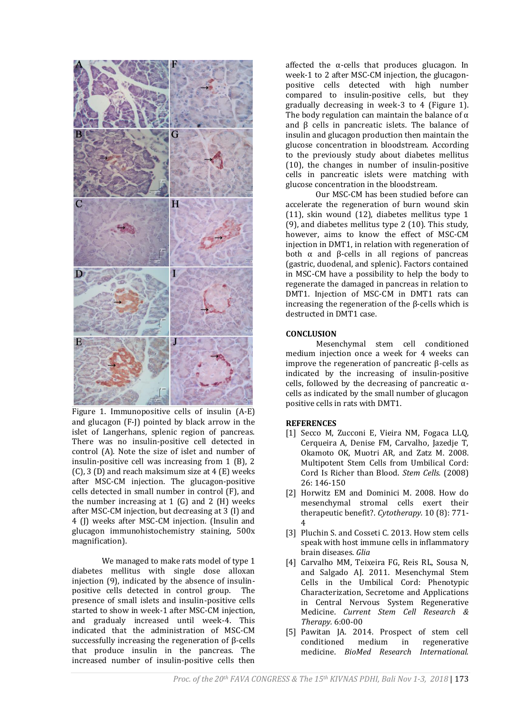

Figure 1. Immunopositive cells of insulin (A-E) and glucagon (F-J) pointed by black arrow in the islet of Langerhans, splenic region of pancreas. There was no insulin-positive cell detected in control (A). Note the size of islet and number of insulin-positive cell was increasing from 1 (B), 2  $(C)$ , 3  $(D)$  and reach maksimum size at 4  $(E)$  weeks after MSC-CM injection. The glucagon-positive cells detected in small number in control (F), and the number increasing at  $1$  (G) and  $2$  (H) weeks after MSC-CM injection, but decreasing at 3 (I) and 4 (J) weeks after MSC-CM injection. (Insulin and glucagon immunohistochemistry staining, 500x magnification).

We managed to make rats model of type 1 diabetes mellitus with single dose alloxan injection (9), indicated by the absence of insulinpositive cells detected in control group. The presence of small islets and insulin-positive cells started to show in week-1 after MSC-CM injection, and gradualy increased until week-4. This indicated that the administration of MSC-CM successfully increasing the regeneration of β-cells that produce insulin in the pancreas. The increased number of insulin-positive cells then

affected the  $\alpha$ -cells that produces glucagon. In week-1 to 2 after MSC-CM injection, the glucagonpositive cells detected with high number compared to insulin-positive cells, but they gradually decreasing in week-3 to 4 (Figure 1). The body regulation can maintain the balance of  $\alpha$ and β cells in pancreatic islets. The balance of insulin and glucagon production then maintain the glucose concentration in bloodstream. According to the previously study about diabetes mellitus (10), the changes in number of insulin-positive cells in pancreatic islets were matching with glucose concentration in the bloodstream.

Our MSC-CM has been studied before can accelerate the regeneration of burn wound skin (11), skin wound (12), diabetes mellitus type 1 (9), and diabetes mellitus type 2 (10). This study, however, aims to know the effect of MSC-CM injection in DMT1, in relation with regeneration of both  $\alpha$  and β-cells in all regions of pancreas (gastric, duodenal, and splenic). Factors contained in MSC-CM have a possibility to help the body to regenerate the damaged in pancreas in relation to DMT1. Injection of MSC-CM in DMT1 rats can increasing the regeneration of the β-cells which is destructed in DMT1 case.

# **CONCLUSION**

Mesenchymal stem cell conditioned medium injection once a week for 4 weeks can improve the regeneration of pancreatic β-cells as indicated by the increasing of insulin-positive cells, followed by the decreasing of pancreatic  $\alpha$ cells as indicated by the small number of glucagon positive cells in rats with DMT1.

### **REFERENCES**

- [1] Secco M, Zucconi E, Vieira NM, Fogaca LLQ, Cerqueira A, Denise FM, Carvalho, Jazedje T, Okamoto OK, Muotri AR, and Zatz M. 2008. Multipotent Stem Cells from Umbilical Cord: Cord Is Richer than Blood. *Stem Cells.* (2008) 26: 146-150
- [2] Horwitz EM and Dominici M. 2008. How do mesenchymal stromal cells exert their therapeutic benefit?. *Cytotherapy.* 10 (8): 771- 4
- [3] Pluchin S. and Cosseti C. 2013. How stem cells speak with host immune cells in inflammatory brain diseases. *Glia*
- [4] Carvalho MM, Teixeira FG, Reis RL, Sousa N, and Salgado AJ. 2011. Mesenchymal Stem Cells in the Umbilical Cord: Phenotypic Characterization, Secretome and Applications in Central Nervous System Regenerative Medicine. *Current Stem Cell Research & Therapy.* 6:00-00
- [5] Pawitan JA. 2014. Prospect of stem cell conditioned medium in regenerative medicine. *BioMed Research International.*